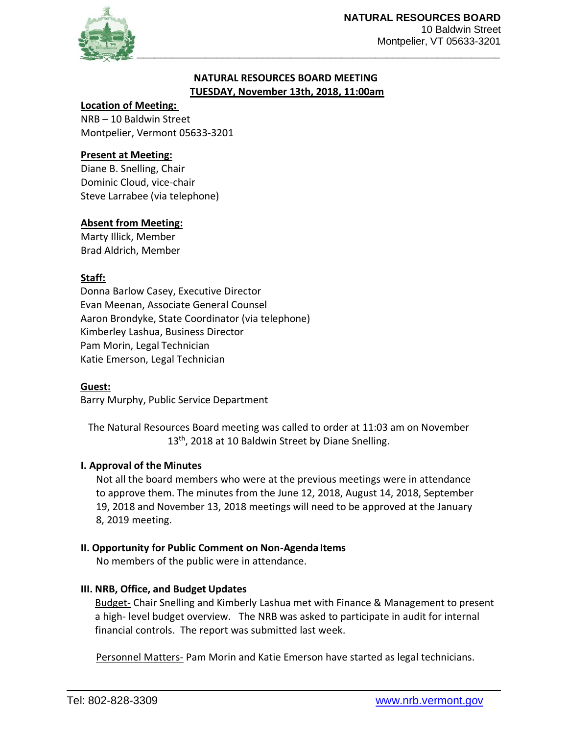

## **NATURAL RESOURCES BOARD MEETING TUESDAY, November 13th, 2018, 11:00am**

#### **Location of Meeting:**

NRB – 10 Baldwin Street Montpelier, Vermont 05633-3201

## **Present at Meeting:**

Diane B. Snelling, Chair Dominic Cloud, vice-chair Steve Larrabee (via telephone)

### **Absent from Meeting:**

Marty Illick, Member Brad Aldrich, Member

## **Staff:**

Donna Barlow Casey, Executive Director Evan Meenan, Associate General Counsel Aaron Brondyke, State Coordinator (via telephone) Kimberley Lashua, Business Director Pam Morin, Legal Technician Katie Emerson, Legal Technician

#### **Guest:**

Barry Murphy, Public Service Department

The Natural Resources Board meeting was called to order at 11:03 am on November 13<sup>th</sup>, 2018 at 10 Baldwin Street by Diane Snelling.

## **I. Approval of the Minutes**

Not all the board members who were at the previous meetings were in attendance to approve them. The minutes from the June 12, 2018, August 14, 2018, September 19, 2018 and November 13, 2018 meetings will need to be approved at the January 8, 2019 meeting.

#### **II. Opportunity for Public Comment on Non-Agenda Items**

No members of the public were in attendance.

## **III. NRB, Office, and Budget Updates**

Budget- Chair Snelling and Kimberly Lashua met with Finance & Management to present a high- level budget overview. The NRB was asked to participate in audit for internal financial controls. The report was submitted last week.

Personnel Matters- Pam Morin and Katie Emerson have started as legal technicians.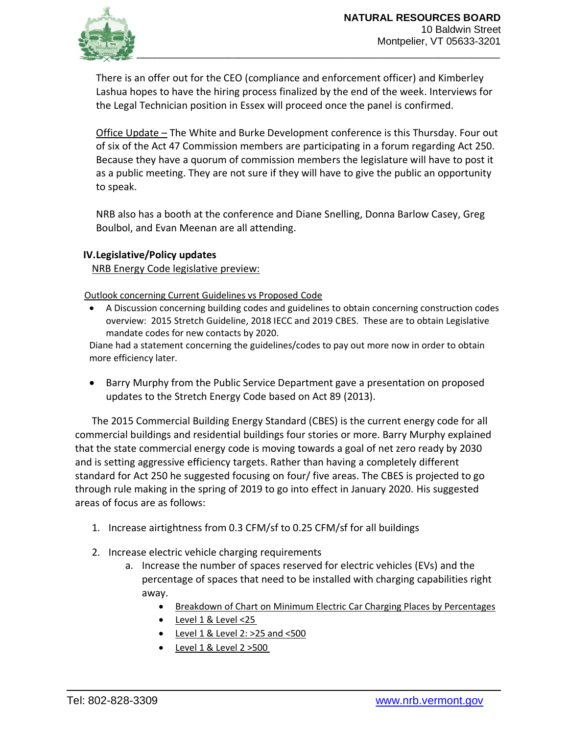

There is an offer out for the CEO (compliance and enforcement officer) and Kimberley Lashua hopes to have the hiring process finalized by the end of the week. Interviews for the Legal Technician position in Essex will proceed once the panel is confirmed.

Office Update – The White and Burke Development conference is this Thursday. Four out of six of the Act 47 Commission members are participating in a forum regarding Act 250. Because they have a quorum of commission members the legislature will have to post it as a public meeting. They are not sure if they will have to give the public an opportunity to speak.

NRB also has a booth at the conference and Diane Snelling, Donna Barlow Casey, Greg Boulbol, and Evan Meenan are all attending.

## **IV.Legislative/Policy updates**

NRB Energy Code legislative preview:

Outlook concerning Current Guidelines vs Proposed Code

• A Discussion concerning building codes and guidelines to obtain concerning construction codes overview: 2015 Stretch Guideline, 2018 IECC and 2019 CBES. These are to obtain Legislative mandate codes for new contacts by 2020.

Diane had a statement concerning the guidelines/codes to pay out more now in order to obtain more efficiency later.

• Barry Murphy from the Public Service Department gave a presentation on proposed updates to the Stretch Energy Code based on Act 89 (2013).

The 2015 Commercial Building Energy Standard (CBES) is the current energy code for all commercial buildings and residential buildings four stories or more. Barry Murphy explained that the state commercial energy code is moving towards a goal of net zero ready by 2030 and is setting aggressive efficiency targets. Rather than having a completely different standard for Act 250 he suggested focusing on four/ five areas. The CBES is projected to go through rule making in the spring of 2019 to go into effect in January 2020. His suggested areas of focus are as follows:

- 1. Increase airtightness from 0.3 CFM/sf to 0.25 CFM/sf for all buildings
- 2. Increase electric vehicle charging requirements
	- a. Increase the number of spaces reserved for electric vehicles (EVs) and the percentage of spaces that need to be installed with charging capabilities right away.
		- Breakdown of Chart on Minimum Electric Car Charging Places by Percentages
		- Level 1 & Level <25
		- $\bullet$  Level 1 & Level 2: >25 and <500
		- $\bullet$  Level 1 & Level 2 > 500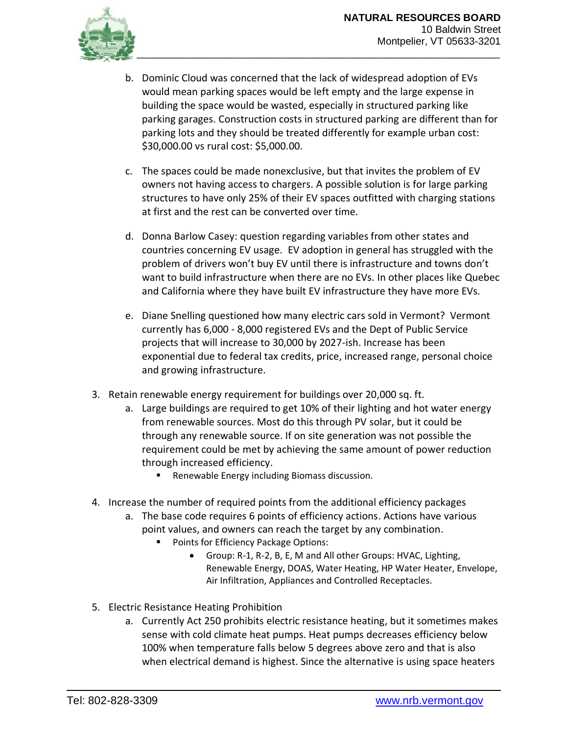

- b. Dominic Cloud was concerned that the lack of widespread adoption of EVs would mean parking spaces would be left empty and the large expense in building the space would be wasted, especially in structured parking like parking garages. Construction costs in structured parking are different than for parking lots and they should be treated differently for example urban cost: \$30,000.00 vs rural cost: \$5,000.00.
- c. The spaces could be made nonexclusive, but that invites the problem of EV owners not having access to chargers. A possible solution is for large parking structures to have only 25% of their EV spaces outfitted with charging stations at first and the rest can be converted over time.
- d. Donna Barlow Casey: question regarding variables from other states and countries concerning EV usage. EV adoption in general has struggled with the problem of drivers won't buy EV until there is infrastructure and towns don't want to build infrastructure when there are no EVs. In other places like Quebec and California where they have built EV infrastructure they have more EVs.
- e. Diane Snelling questioned how many electric cars sold in Vermont? Vermont currently has 6,000 - 8,000 registered EVs and the Dept of Public Service projects that will increase to 30,000 by 2027-ish. Increase has been exponential due to federal tax credits, price, increased range, personal choice and growing infrastructure.
- 3. Retain renewable energy requirement for buildings over 20,000 sq. ft.
	- a. Large buildings are required to get 10% of their lighting and hot water energy from renewable sources. Most do this through PV solar, but it could be through any renewable source. If on site generation was not possible the requirement could be met by achieving the same amount of power reduction through increased efficiency.
		- Renewable Energy including Biomass discussion.
- 4. Increase the number of required points from the additional efficiency packages
	- a. The base code requires 6 points of efficiency actions. Actions have various point values, and owners can reach the target by any combination.
		- Points for Efficiency Package Options:
			- Group: R-1, R-2, B, E, M and All other Groups: HVAC, Lighting, Renewable Energy, DOAS, Water Heating, HP Water Heater, Envelope, Air Infiltration, Appliances and Controlled Receptacles.
- 5. Electric Resistance Heating Prohibition
	- a. Currently Act 250 prohibits electric resistance heating, but it sometimes makes sense with cold climate heat pumps. Heat pumps decreases efficiency below 100% when temperature falls below 5 degrees above zero and that is also when electrical demand is highest. Since the alternative is using space heaters